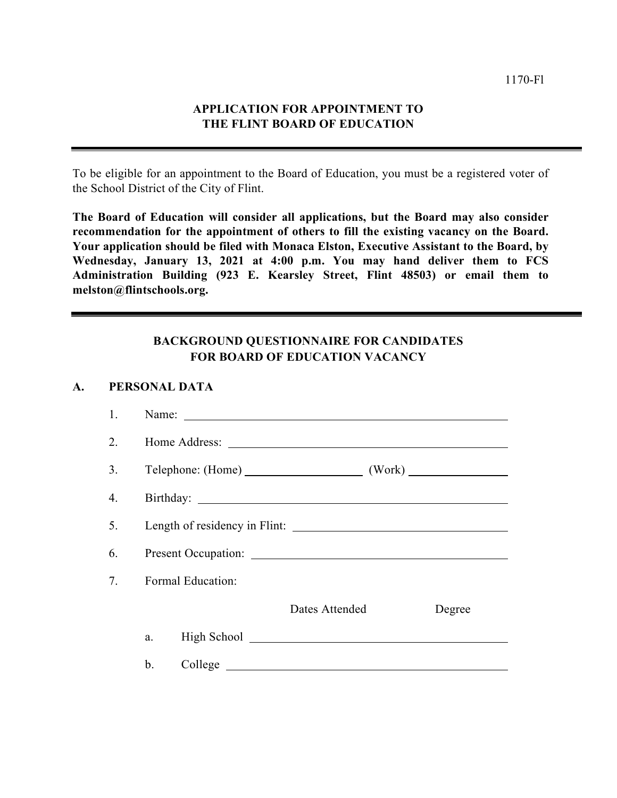## **APPLICATION FOR APPOINTMENT TO THE FLINT BOARD OF EDUCATION**

To be eligible for an appointment to the Board of Education, you must be a registered voter of the School District of the City of Flint.

**The Board of Education will consider all applications, but the Board may also consider recommendation for the appointment of others to fill the existing vacancy on the Board. Your application should be filed with Monaca Elston, Executive Assistant to the Board, by Wednesday, January 13, 2021 at 4:00 p.m. You may hand deliver them to FCS Administration Building (923 E. Kearsley Street, Flint 48503) or email them to melston@flintschools.org.** 

## **BACKGROUND QUESTIONNAIRE FOR CANDIDATES FOR BOARD OF EDUCATION VACANCY**

## **A. PERSONAL DATA**

| 1. |                   | Name: $\qquad \qquad$ |                |  |        |  |  |  |  |
|----|-------------------|-----------------------|----------------|--|--------|--|--|--|--|
| 2. |                   |                       |                |  |        |  |  |  |  |
| 3. |                   |                       |                |  |        |  |  |  |  |
| 4. |                   |                       |                |  |        |  |  |  |  |
| 5. |                   |                       |                |  |        |  |  |  |  |
| 6. |                   |                       |                |  |        |  |  |  |  |
| 7. | Formal Education: |                       |                |  |        |  |  |  |  |
|    |                   |                       | Dates Attended |  | Degree |  |  |  |  |
|    | a.                |                       |                |  |        |  |  |  |  |
|    | b.                |                       |                |  |        |  |  |  |  |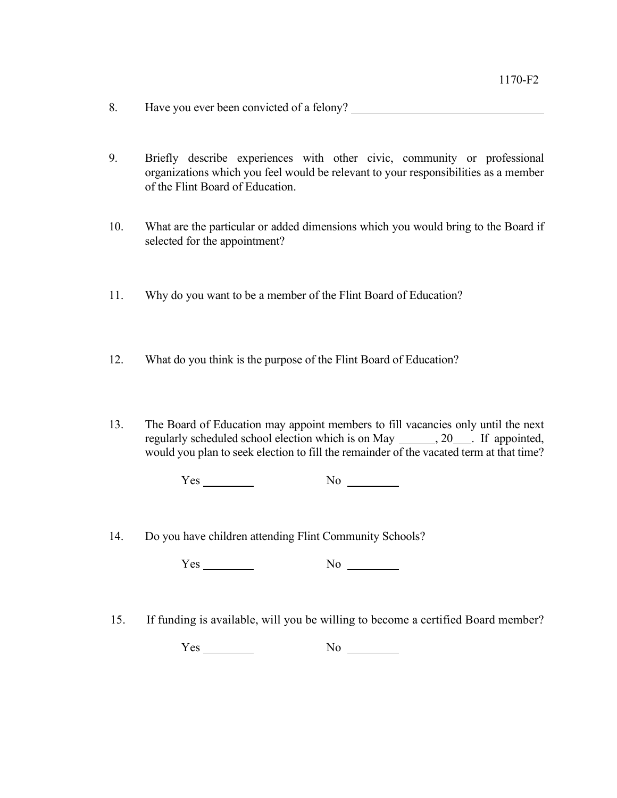- 8. Have you ever been convicted of a felony?
- 9. Briefly describe experiences with other civic, community or professional organizations which you feel would be relevant to your responsibilities as a member of the Flint Board of Education.
- 10. What are the particular or added dimensions which you would bring to the Board if selected for the appointment?
- 11. Why do you want to be a member of the Flint Board of Education?
- 12. What do you think is the purpose of the Flint Board of Education?
- 13. The Board of Education may appoint members to fill vacancies only until the next regularly scheduled school election which is on May , 20 . If appointed, would you plan to seek election to fill the remainder of the vacated term at that time?

 $Yes$  No  $N$ o

14. Do you have children attending Flint Community Schools?

Yes No

15. If funding is available, will you be willing to become a certified Board member?

 $Yes$  No  $No$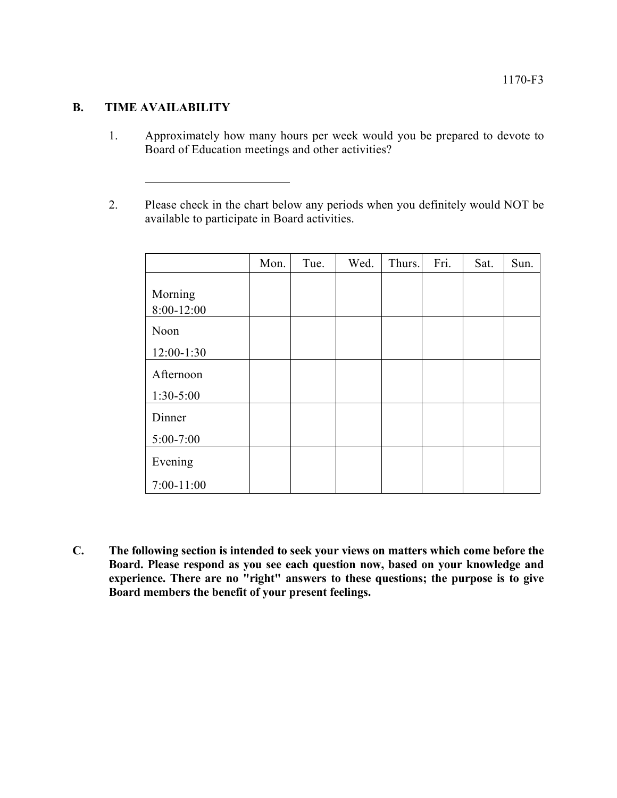## **B. TIME AVAILABILITY**

- 1. Approximately how many hours per week would you be prepared to devote to Board of Education meetings and other activities?
- 2. Please check in the chart below any periods when you definitely would NOT be available to participate in Board activities.

|                          | Mon. | Tue. | Wed. | Thurs. | Fri. | Sat. | Sun. |
|--------------------------|------|------|------|--------|------|------|------|
| Morning<br>8:00-12:00    |      |      |      |        |      |      |      |
| Noon<br>12:00-1:30       |      |      |      |        |      |      |      |
| Afternoon<br>$1:30-5:00$ |      |      |      |        |      |      |      |
| Dinner                   |      |      |      |        |      |      |      |
| $5:00-7:00$<br>Evening   |      |      |      |        |      |      |      |
| $7:00-11:00$             |      |      |      |        |      |      |      |

**C. The following section is intended to seek your views on matters which come before the Board. Please respond as you see each question now, based on your knowledge and experience. There are no "right" answers to these questions; the purpose is to give Board members the benefit of your present feelings.**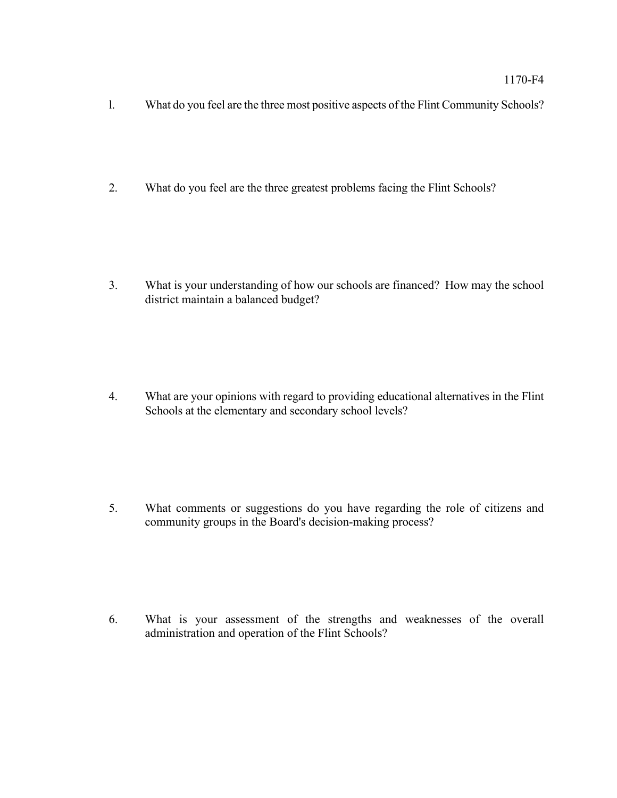- l. What do you feel are the three most positive aspects of the Flint Community Schools?
- 2. What do you feel are the three greatest problems facing the Flint Schools?

3. What is your understanding of how our schools are financed? How may the school district maintain a balanced budget?

4. What are your opinions with regard to providing educational alternatives in the Flint Schools at the elementary and secondary school levels?

5. What comments or suggestions do you have regarding the role of citizens and community groups in the Board's decision-making process?

6. What is your assessment of the strengths and weaknesses of the overall administration and operation of the Flint Schools?